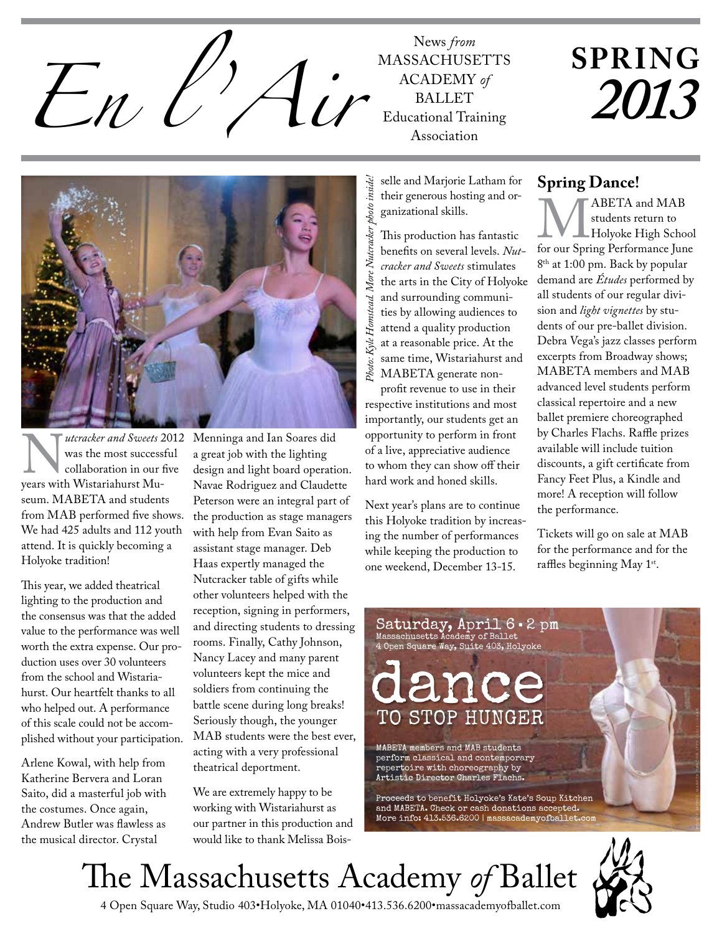News *from*<br>*En l L Au*<sup>MASSACHUSH</sup>

**MASSACHUSETTS** ACADEMY of **BALLET** Educational Training Association

## **SPRING** *2013*



Wester and Sweets 2012<br>
was the most successful<br>
collaboration in our five<br>
years with Wistariahurst Muwas the most successful collaboration in our five seum. MABETA and students from MAB performed five shows. We had 425 adults and 112 youth attend. It is quickly becoming a Holyoke tradition!

This year, we added theatrical lighting to the production and the consensus was that the added value to the performance was well worth the extra expense. Our production uses over 30 volunteers from the school and Wistariahurst. Our heartfelt thanks to all who helped out. A performance of this scale could not be accomplished without your participation.

Arlene Kowal, with help from Katherine Bervera and Loran Saito, did a masterful job with the costumes. Once again, Andrew Butler was flawless as the musical director. Crystal

Menninga and Ian Soares did a great job with the lighting design and light board operation. Navae Rodriguez and Claudette Peterson were an integral part of the production as stage managers with help from Evan Saito as assistant stage manager. Deb Haas expertly managed the Nutcracker table of gifts while other volunteers helped with the reception, signing in performers, and directing students to dressing rooms. Finally, Cathy Johnson, Nancy Lacey and many parent volunteers kept the mice and soldiers from continuing the battle scene during long breaks! Seriously though, the younger MAB students were the best ever, acting with a very professional theatrical deportment.

We are extremely happy to be working with Wistariahurst as our partner in this production and would like to thank Melissa Boisselle and Marjorie Latham for their generous hosting and organizational skills.

This production has fantastic benefits on several levels. *Nutcracker and Sweets* stimulates the arts in the City of Holyoke and surrounding communities by allowing audiences to attend a quality production at a reasonable price. At the same time, Wistariahurst and MABETA generate non-Example and Marjorie Latham for<br>
Example and Marjorie Latham for<br>
Examizational skills.<br>
This production has fantastic<br>
benefits on several levels. Nut-<br>
for cacker and Sweets stimulates<br>
the arts in the City of Holyoke<br>
a

profit revenue to use in their respective institutions and most importantly, our students get an opportunity to perform in front of a live, appreciative audience to whom they can show off their hard work and honed skills.

Next year's plans are to continue this Holyoke tradition by increasing the number of performances while keeping the production to one weekend, December 13-15.

#### **Spring Dance!**

MABETA and MAB<br>
students return to<br>
for our Spring Performance June students return to Holyoke High School 8<sup>th</sup> at 1:00 pm. Back by popular demand are *Études* performed by all students of our regular division and *light vignettes* by students of our pre-ballet division. Debra Vega's jazz classes perform excerpts from Broadway shows; MABETA members and MAB advanced level students perform classical repertoire and a new ballet premiere choreographed by Charles Flachs. Raffle prizes available will include tuition discounts, a gift certificate from Fancy Feet Plus, a Kindle and more! A reception will follow the performance.

Tickets will go on sale at MAB for the performance and for the raffles beginning May 1st.



MABETA members and MAB students perform classical and contemporary repertoire with choreography by Artistic Director Charles Flachs.

Proceeds to benefit Holyoke's Kate's Soup Kitchen and MABETA. Check or cash donations accepted. More info: 413.536.6200 | massacademyofballet.com

# The Massachusetts Academy *of* Ballet



P O IN T E M O DE L M A B E TA DA N C ER I Z Z Y L UU L I H A A S

4 Open Square Way, Studio 403•Holyoke, MA 01040•413.536.6200•massacademyofballet.com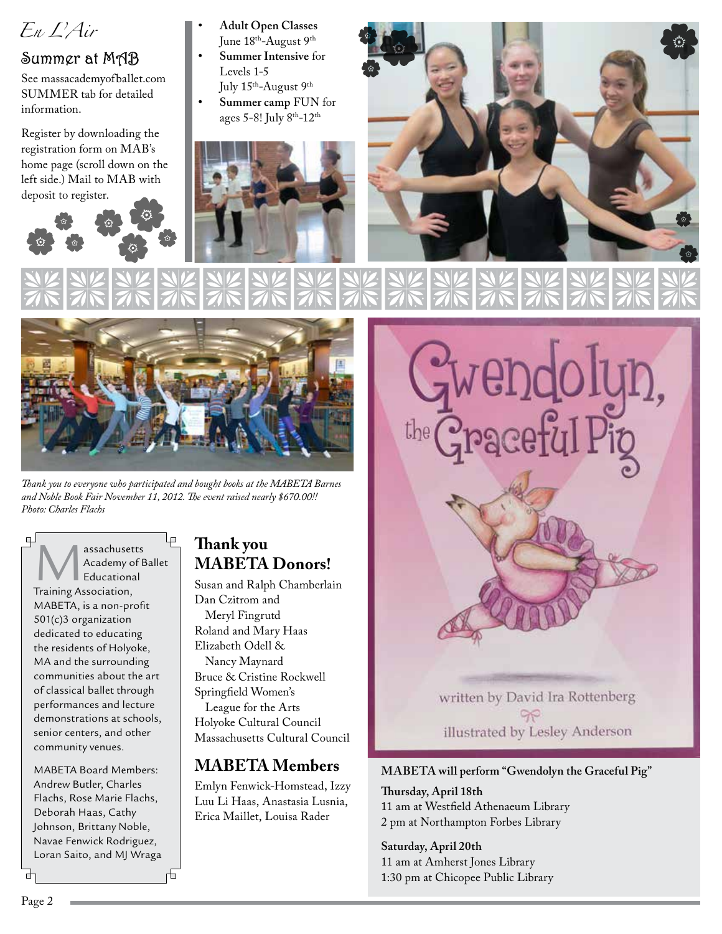

## Summer at MAB

See massacademyofballet.com SUMMER tab for detailed information.

Register by downloading the registration form on MAB's home page (scroll down on the left side.) Mail to MAB with deposit to register.



- **Adult Open Classes** June 18<sup>th</sup>-August 9<sup>th</sup>
- **Summer Intensive** for Levels 1-5

July 15<sup>th</sup>-August 9<sup>th</sup>

**Summer camp** FUN for ages 5-8! July 8th-12th







*Thank you to everyone who participated and bought books at the MABETA Barnes and Noble Book Fair November 11, 2012. The event raised nearly \$670.00!! Photo: Charles Flachs*

Lp. **Massachusetts<br>
Academy of B**<br>
Training Association, Academy of Ballet Educational

MABETA, is a non-profit 501(c)3 organization dedicated to educating the residents of Holyoke, MA and the surrounding communities about the art of classical ballet through performances and lecture demonstrations at schools, senior centers, and other community venues.

MABETA Board Members: Andrew Butler, Charles Flachs, Rose Marie Flachs, Deborah Haas, Cathy Johnson, Brittany Noble, Navae Fenwick Rodriguez, Loran Saito, and MJ Wraga

### **Thank you MABETA Donors!**

Susan and Ralph Chamberlain Dan Czitrom and Meryl Fingrutd Roland and Mary Haas Elizabeth Odell & Nancy Maynard Bruce & Cristine Rockwell Springfield Women's

League for the Arts Holyoke Cultural Council Massachusetts Cultural Council

#### **MABETA Members**

Emlyn Fenwick-Homstead, Izzy Luu Li Haas, Anastasia Lusnia, Erica Maillet, Louisa Rader



#### **MABETA will perform "Gwendolyn the Graceful Pig"**

**Thursday, April 18th** 11 am at Westfield Athenaeum Library 2 pm at Northampton Forbes Library

#### **Saturday, April 20th**

11 am at Amherst Jones Library 1:30 pm at Chicopee Public Library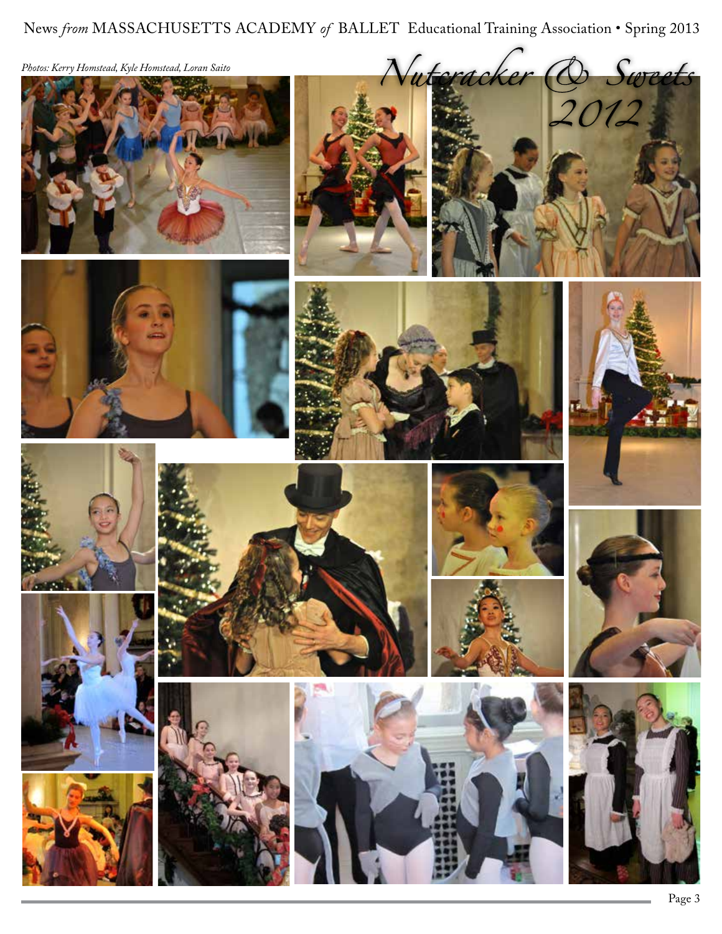News *from* MASSACHUSETTS ACADEMY of BALLET Educational Training Association • Spring 2013